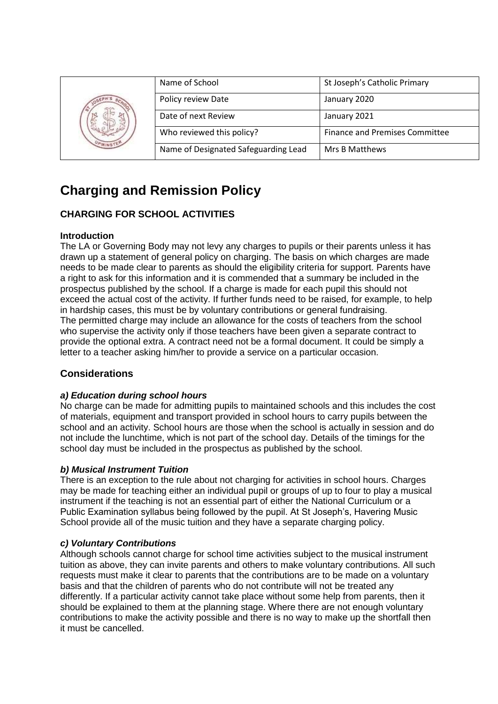|  | Name of School                       | St Joseph's Catholic Primary          |
|--|--------------------------------------|---------------------------------------|
|  | Policy review Date                   | January 2020                          |
|  | Date of next Review                  | January 2021                          |
|  | Who reviewed this policy?            | <b>Finance and Premises Committee</b> |
|  | Name of Designated Safeguarding Lead | Mrs B Matthews                        |

# **Charging and Remission Policy**

# **CHARGING FOR SCHOOL ACTIVITIES**

# **Introduction**

The LA or Governing Body may not levy any charges to pupils or their parents unless it has drawn up a statement of general policy on charging. The basis on which charges are made needs to be made clear to parents as should the eligibility criteria for support. Parents have a right to ask for this information and it is commended that a summary be included in the prospectus published by the school. If a charge is made for each pupil this should not exceed the actual cost of the activity. If further funds need to be raised, for example, to help in hardship cases, this must be by voluntary contributions or general fundraising. The permitted charge may include an allowance for the costs of teachers from the school who supervise the activity only if those teachers have been given a separate contract to provide the optional extra. A contract need not be a formal document. It could be simply a letter to a teacher asking him/her to provide a service on a particular occasion.

# **Considerations**

# *a) Education during school hours*

No charge can be made for admitting pupils to maintained schools and this includes the cost of materials, equipment and transport provided in school hours to carry pupils between the school and an activity. School hours are those when the school is actually in session and do not include the lunchtime, which is not part of the school day. Details of the timings for the school day must be included in the prospectus as published by the school.

# *b) Musical Instrument Tuition*

There is an exception to the rule about not charging for activities in school hours. Charges may be made for teaching either an individual pupil or groups of up to four to play a musical instrument if the teaching is not an essential part of either the National Curriculum or a Public Examination syllabus being followed by the pupil. At St Joseph's, Havering Music School provide all of the music tuition and they have a separate charging policy.

# *c) Voluntary Contributions*

Although schools cannot charge for school time activities subject to the musical instrument tuition as above, they can invite parents and others to make voluntary contributions. All such requests must make it clear to parents that the contributions are to be made on a voluntary basis and that the children of parents who do not contribute will not be treated any differently. If a particular activity cannot take place without some help from parents, then it should be explained to them at the planning stage. Where there are not enough voluntary contributions to make the activity possible and there is no way to make up the shortfall then it must be cancelled.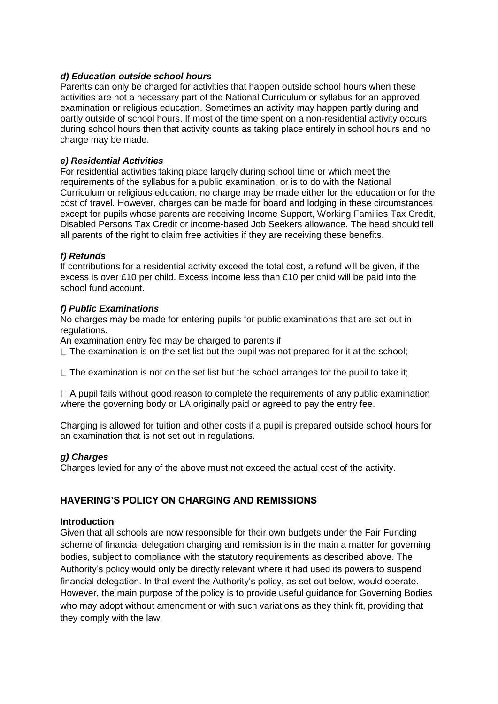## *d) Education outside school hours*

Parents can only be charged for activities that happen outside school hours when these activities are not a necessary part of the National Curriculum or syllabus for an approved examination or religious education. Sometimes an activity may happen partly during and partly outside of school hours. If most of the time spent on a non-residential activity occurs during school hours then that activity counts as taking place entirely in school hours and no charge may be made.

## *e) Residential Activities*

For residential activities taking place largely during school time or which meet the requirements of the syllabus for a public examination, or is to do with the National Curriculum or religious education, no charge may be made either for the education or for the cost of travel. However, charges can be made for board and lodging in these circumstances except for pupils whose parents are receiving Income Support, Working Families Tax Credit, Disabled Persons Tax Credit or income-based Job Seekers allowance. The head should tell all parents of the right to claim free activities if they are receiving these benefits.

# *f) Refunds*

If contributions for a residential activity exceed the total cost, a refund will be given, if the excess is over £10 per child. Excess income less than £10 per child will be paid into the school fund account.

# *f) Public Examinations*

No charges may be made for entering pupils for public examinations that are set out in regulations.

An examination entry fee may be charged to parents if

 $\Box$  The examination is on the set list but the pupil was not prepared for it at the school;

 $\Box$  The examination is not on the set list but the school arranges for the pupil to take it;

 $\Box$  A pupil fails without good reason to complete the requirements of any public examination where the governing body or LA originally paid or agreed to pay the entry fee.

Charging is allowed for tuition and other costs if a pupil is prepared outside school hours for an examination that is not set out in regulations.

## *g) Charges*

Charges levied for any of the above must not exceed the actual cost of the activity.

# **HAVERING'S POLICY ON CHARGING AND REMISSIONS**

## **Introduction**

Given that all schools are now responsible for their own budgets under the Fair Funding scheme of financial delegation charging and remission is in the main a matter for governing bodies, subject to compliance with the statutory requirements as described above. The Authority's policy would only be directly relevant where it had used its powers to suspend financial delegation. In that event the Authority's policy, as set out below, would operate. However, the main purpose of the policy is to provide useful guidance for Governing Bodies who may adopt without amendment or with such variations as they think fit, providing that they comply with the law.